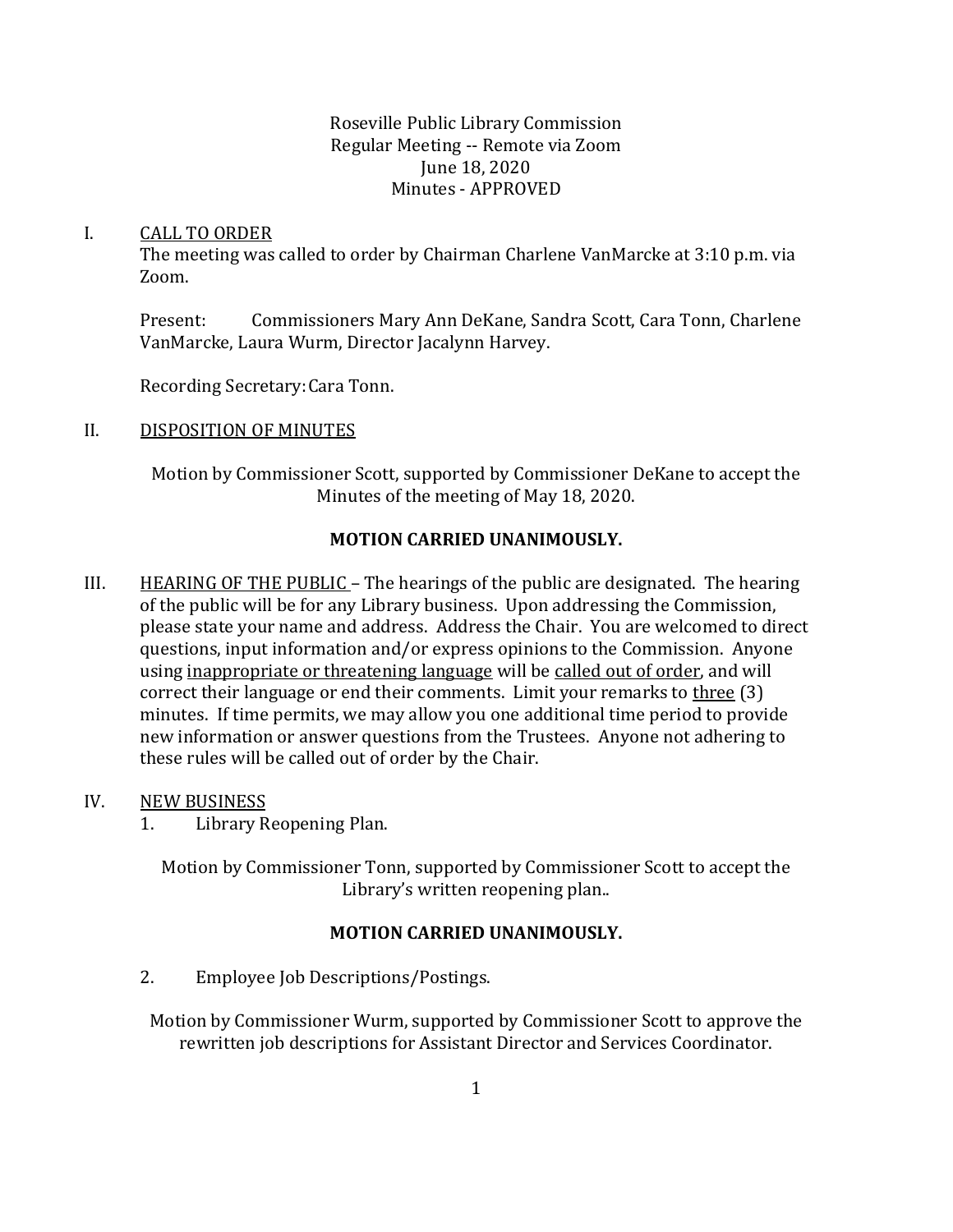### Roseville Public Library Commission Regular Meeting -- Remote via Zoom June 18, 2020 Minutes - APPROVED

#### I. CALL TO ORDER

The meeting was called to order by Chairman Charlene VanMarcke at 3:10 p.m. via Zoom.

Present: Commissioners Mary Ann DeKane, Sandra Scott, Cara Tonn, Charlene VanMarcke, Laura Wurm, Director Jacalynn Harvey.

Recording Secretary:Cara Tonn.

#### II. DISPOSITION OF MINUTES

Motion by Commissioner Scott, supported by Commissioner DeKane to accept the Minutes of the meeting of May 18, 2020.

## **MOTION CARRIED UNANIMOUSLY.**

III. HEARING OF THE PUBLIC – The hearings of the public are designated. The hearing of the public will be for any Library business. Upon addressing the Commission, please state your name and address. Address the Chair. You are welcomed to direct questions, input information and/or express opinions to the Commission. Anyone using inappropriate or threatening language will be called out of order, and will correct their language or end their comments. Limit your remarks to three (3) minutes. If time permits, we may allow you one additional time period to provide new information or answer questions from the Trustees. Anyone not adhering to these rules will be called out of order by the Chair.

#### IV. NEW BUSINESS

1. Library Reopening Plan.

Motion by Commissioner Tonn, supported by Commissioner Scott to accept the Library's written reopening plan..

#### **MOTION CARRIED UNANIMOUSLY.**

2. Employee Job Descriptions/Postings.

Motion by Commissioner Wurm, supported by Commissioner Scott to approve the rewritten job descriptions for Assistant Director and Services Coordinator.